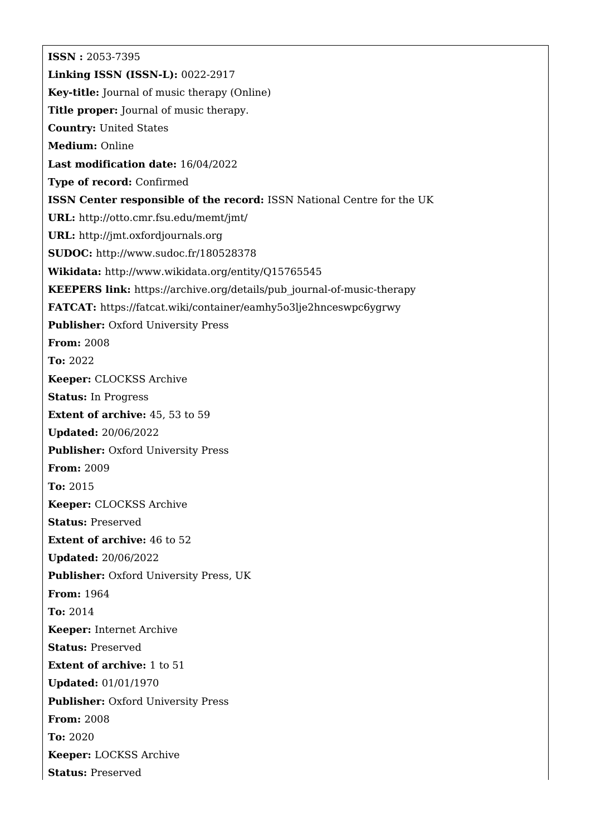**ISSN :** 2053-7395 **Linking ISSN (ISSN-L):** 0022-2917 **Key-title:** Journal of music therapy (Online) **Title proper:** Journal of music therapy. **Country:** United States **Medium:** Online **Last modification date:** 16/04/2022 **Type of record:** Confirmed **ISSN Center responsible of the record:** ISSN National Centre for the UK **URL:** <http://otto.cmr.fsu.edu/memt/jmt/> **URL:** <http://jmt.oxfordjournals.org> **SUDOC:** <http://www.sudoc.fr/180528378> **Wikidata:** <http://www.wikidata.org/entity/Q15765545> **KEEPERS link:** [https://archive.org/details/pub\\_journal-of-music-therapy](https://archive.org/details/pub_journal-of-music-therapy) **FATCAT:** <https://fatcat.wiki/container/eamhy5o3lje2hnceswpc6ygrwy> **Publisher:** Oxford University Press **From:** 2008 **To:** 2022 **Keeper:** CLOCKSS Archive **Status:** In Progress **Extent of archive:** 45, 53 to 59 **Updated:** 20/06/2022 **Publisher: Oxford University Press From:** 2009 **To:** 2015 **Keeper:** CLOCKSS Archive **Status:** Preserved **Extent of archive:** 46 to 52 **Updated:** 20/06/2022 **Publisher:** Oxford University Press, UK **From:** 1964 **To:** 2014 **Keeper:** Internet Archive **Status:** Preserved **Extent of archive:** 1 to 51 **Updated:** 01/01/1970 **Publisher: Oxford University Press From:** 2008 **To:** 2020 **Keeper:** LOCKSS Archive **Status:** Preserved